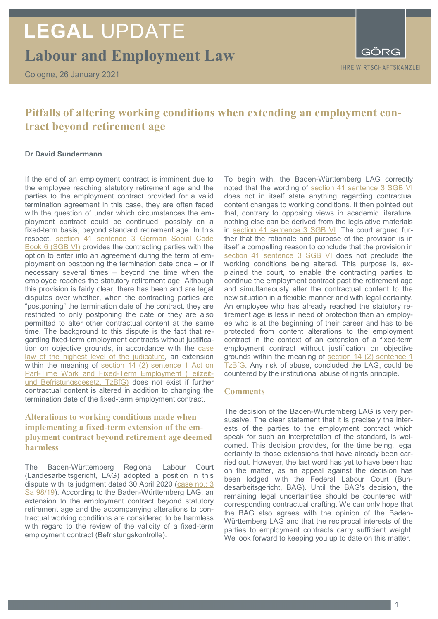# **LEGAL** UPDATE

**Labour and Employment Law**

Cologne, 26 January 2021

**IHRE WIRTSCHAFTSKANZLEI** 

# **Pitfalls of altering working conditions when extending an employment contract beyond retirement age**

### **Dr David Sundermann**

If the end of an employment contract is imminent due to the employee reaching statutory retirement age and the parties to the employment contract provided for a valid termination agreement in this case, they are often faced with the question of under which circumstances the employment contract could be continued, possibly on a fixed-term basis, beyond standard retirement age. In this respect, [section 41 sentence 3 German Social Code](https://www.gesetze-im-internet.de/sgb_6/__41.html)  [Book 6 \(SGB VI\)](https://www.gesetze-im-internet.de/sgb_6/__41.html) provides the contracting parties with the option to enter into an agreement during the term of employment on postponing the termination date once – or if necessary several times – beyond the time when the employee reaches the statutory retirement age. Although this provision is fairly clear, there has been and are legal disputes over whether, when the contracting parties are "postponing" the termination date of the contract, they are restricted to only postponing the date or they are also permitted to alter other contractual content at the same time. The background to this dispute is the fact that regarding fixed-term employment contracts without justification on objective grounds, in accordance with the [case](https://openjur.de/u/171119.html)  [law of the highest level of the judicature,](https://openjur.de/u/171119.html) an extension within the meaning of section 14 (2) sentence 1 Act on [Part-Time Work and Fixed-Term Employment \(Teilzeit](https://www.gesetze-im-internet.de/tzbfg/__14.html)[und Befristungsgesetz, TzBfG\)](https://www.gesetze-im-internet.de/tzbfg/__14.html) does not exist if further contractual content is altered in addition to changing the termination date of the fixed-term employment contract.

# **Alterations to working conditions made when implementing a fixed-term extension of the employment contract beyond retirement age deemed harmless**

The Baden-Württemberg Regional Labour Court (Landesarbeitsgericht, LAG) adopted a position in this dispute with its judgment dated 30 April 2020 (case no.: 3 [Sa 98/19\)](http://lrbw.juris.de/cgi-bin/laender_rechtsprechung/document.py?Gericht=bw&nr=31839). According to the Baden-Württemberg LAG, an extension to the employment contract beyond statutory retirement age and the accompanying alterations to contractual working conditions are considered to be harmless with regard to the review of the validity of a fixed-term employment contract (Befristungskontrolle).

To begin with, the Baden-Württemberg LAG correctly noted that the wording of [section 41 sentence 3 SGB VI](https://www.gesetze-im-internet.de/sgb_6/__41.html) does not in itself state anything regarding contractual content changes to working conditions. It then pointed out that, contrary to opposing views in academic literature, nothing else can be derived from the legislative materials in [section 41 sentence 3 SGB VI.](https://www.gesetze-im-internet.de/sgb_6/__41.html) The court argued further that the rationale and purpose of the provision is in itself a compelling reason to conclude that the provision in [section 41 sentence 3 SGB VI](https://www.gesetze-im-internet.de/sgb_6/__41.html) does not preclude the working conditions being altered. This purpose is, explained the court, to enable the contracting parties to continue the employment contract past the retirement age and simultaneously alter the contractual content to the new situation in a flexible manner and with legal certainty. An employee who has already reached the statutory retirement age is less in need of protection than an employee who is at the beginning of their career and has to be protected from content alterations to the employment contract in the context of an extension of a fixed-term employment contract without justification on objective grounds within the meaning of [section 14 \(2\) sentence 1](https://www.gesetze-im-internet.de/tzbfg/__14.html)  [TzBfG.](https://www.gesetze-im-internet.de/tzbfg/__14.html) Any risk of abuse, concluded the LAG, could be countered by the institutional abuse of rights principle.

## **Comments**

The decision of the Baden-Württemberg LAG is very persuasive. The clear statement that it is precisely the interests of the parties to the employment contract which speak for such an interpretation of the standard, is welcomed. This decision provides, for the time being, legal certainty to those extensions that have already been carried out. However, the last word has yet to have been had on the matter, as an appeal against the decision has been lodged with the Federal Labour Court (Bundesarbeitsgericht, BAG). Until the BAG's decision, the remaining legal uncertainties should be countered with corresponding contractual drafting. We can only hope that the BAG also agrees with the opinion of the Baden-Württemberg LAG and that the reciprocal interests of the parties to employment contracts carry sufficient weight. We look forward to keeping you up to date on this matter.